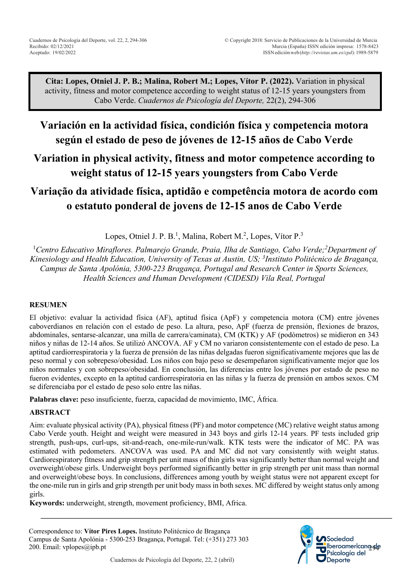**Cita: Lopes, Otniel J. P. B.; Malina, Robert M.; Lopes, Vítor P. (2022).** Variation in physical activity, fitness and motor competence according to weight status of 12-15 years youngsters from Cabo Verde. *Cuadernos de Psicología del Deporte,* 22(2), 294-306

# **Variación en la actividad física, condición física y competencia motora según el estado de peso de jóvenes de 12-15 años de Cabo Verde**

# **Variation in physical activity, fitness and motor competence according to weight status of 12-15 years youngsters from Cabo Verde**

# **Variação da atividade física, aptidão e competência motora de acordo com o estatuto ponderal de jovens de 12-15 anos de Cabo Verde**

Lopes, Otniel J. P. B.<sup>1</sup>, Malina, Robert M.<sup>2</sup>, Lopes, Vítor P.<sup>3</sup>

<sup>1</sup> Centro Educativo Miraflores. Palmarejo Grande, Praia, Ilha de Santiago, Cabo Verde;<sup>2</sup> Department of *Kinesiology and Health Education, University of Texas at Austin, US; 3 Instituto Politécnico de Bragança, Campus de Santa Apolónia, 5300-223 Bragança, Portugal and Research Center in Sports Sciences, Health Sciences and Human Development (CIDESD) Vila Real, Portugal*

### **RESUMEN**

El objetivo: evaluar la actividad física (AF), aptitud física (ApF) y competencia motora (CM) entre jóvenes caboverdianos en relación con el estado de peso. La altura, peso, ApF (fuerza de prensión, flexiones de brazos, abdominales, sentarse-alcanzar, una milla de carrera/caminata), CM (KTK) y AF (podómetros) se midieron en 343 niños y niñas de 12-14 años. Se utilizó ANCOVA. AF y CM no variaron consistentemente con el estado de peso. La aptitud cardiorrespiratoria y la fuerza de prensión de las niñas delgadas fueron significativamente mejores que las de peso normal y con sobrepeso/obesidad. Los niños con bajo peso se desempeñaron significativamente mejor que los niños normales y con sobrepeso/obesidad. En conclusión, las diferencias entre los jóvenes por estado de peso no fueron evidentes, excepto en la aptitud cardiorrespiratoria en las niñas y la fuerza de prensión en ambos sexos. CM se diferenciaba por el estado de peso solo entre las niñas.

**Palabras clave:** peso insuficiente, fuerza, capacidad de movimiento, IMC, África.

### **ABSTRACT**

Aim: evaluate physical activity (PA), physical fitness (PF) and motor competence (MC) relative weight status among Cabo Verde youth. Height and weight were measured in 343 boys and girls 12-14 years. PF tests included grip strength, push-ups, curl-ups, sit-and-reach, one-mile-run/walk. KTK tests were the indicator of MC. PA was estimated with pedometers. ANCOVA was used. PA and MC did not vary consistently with weight status. Cardiorespiratory fitness and grip strength per unit mass of thin girls was significantly better than normal weight and overweight/obese girls. Underweight boys performed significantly better in grip strength per unit mass than normal and overweight/obese boys. In conclusions, differences among youth by weight status were not apparent except for the one-mile run in girls and grip strength per unit body mass in both sexes. MC differed by weight status only among girls.

**Keywords:** underweight, strength, movement proficiency, BMI, Africa.

Correspondence to: **Vítor Pires Lopes.** Instituto Politécnico de Bragança Campus de Santa Apolónia - 5300-253 Bragança, Portugal. Tel: (+351) 273 303 200. Email: vplopes@ipb.pt

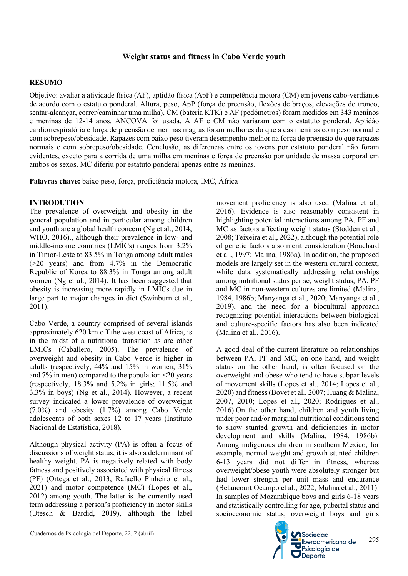### **RESUMO**

Objetivo: avaliar a atividade física (AF), aptidão física (ApF) e competência motora (CM) em jovens cabo-verdianos de acordo com o estatuto ponderal. Altura, peso, ApP (força de preensão, flexões de braços, elevações do tronco, sentar-alcançar, correr/caminhar uma milha), CM (bateria KTK) e AF (pedómetros) foram medidos em 343 meninos e meninas de 12-14 anos. ANCOVA foi usada. A AF e CM não variaram com o estatuto ponderal. Aptidão cardiorrespiratória e força de preensão de meninas magras foram melhores do que a das meninas com peso normal e com sobrepeso/obesidade. Rapazes com baixo peso tiveram desempenho melhor na força de preensão do que rapazes normais e com sobrepeso/obesidade. Conclusão, as diferenças entre os jovens por estatuto ponderal não foram evidentes, exceto para a corrida de uma milha em meninas e força de preensão por unidade de massa corporal em ambos os sexos. MC diferiu por estatuto ponderal apenas entre as meninas.

**Palavras chave:** baixo peso, força, proficiência motora, IMC, África

### **INTRODUTION**

The prevalence of overweight and obesity in the general population and in particular among children and youth are a global health concern (Ng et al., 2014; WHO, 2016)., although their prevalence in low- and middle-income countries (LMICs) ranges from 3.2% in Timor-Leste to 83.5% in Tonga among adult males (>20 years) and from 4.7% in the Democratic Republic of Korea to 88.3% in Tonga among adult women (Ng et al., 2014). It has been suggested that obesity is increasing more rapidly in LMICs due in large part to major changes in diet (Swinburn et al., 2011).

Cabo Verde, a country comprised of several islands approximately 620 km off the west coast of Africa, is in the midst of a nutritional transition as are other LMICs (Caballero, 2005). The prevalence of overweight and obesity in Cabo Verde is higher in adults (respectively, 44% and 15% in women; 31% and 7% in men) compared to the population <20 years (respectively, 18.3% and 5.2% in girls; 11.5% and 3.3% in boys) (Ng et al., 2014). However, a recent survey indicated a lower prevalence of overweight (7.0%) and obesity (1.7%) among Cabo Verde adolescents of both sexes 12 to 17 years (Instituto Nacional de Estatística, 2018).

Although physical activity (PA) is often a focus of discussions of weight status, it is also a determinant of healthy weight. PA is negatively related with body fatness and positively associated with physical fitness (PF) (Ortega et al., 2013; Rafaello Pinheiro et al., 2021) and motor competence (MC) (Lopes et al., 2012) among youth. The latter is the currently used term addressing a person's proficiency in motor skills (Utesch & Bardid, 2019), although the label

movement proficiency is also used (Malina et al., 2016). Evidence is also reasonably consistent in highlighting potential interactions among PA, PF and MC as factors affecting weight status (Stodden et al., 2008; Teixeira et al., 2022), although the potential role of genetic factors also merit consideration (Bouchard et al., 1997; Malina, 1986a). In addition, the proposed models are largely set in the western cultural context, while data systematically addressing relationships among nutritional status per se, weight status, PA, PF and MC in non-western cultures are limited (Malina, 1984, 1986b; Manyanga et al., 2020; Manyanga et al., 2019), and the need for a biocultural approach recognizing potential interactions between biological and culture-specific factors has also been indicated (Malina et al., 2016).

A good deal of the current literature on relationships between PA, PF and MC, on one hand, and weight status on the other hand, is often focused on the overweight and obese who tend to have subpar levels of movement skills (Lopes et al., 2014; Lopes et al., 2020) and fitness (Bovet et al., 2007; Huang & Malina, 2007, 2010; Lopes et al., 2020; Rodrigues et al., 2016).On the other hand, children and youth living under poor and/or marginal nutritional conditions tend to show stunted growth and deficiencies in motor development and skills (Malina, 1984, 1986b). Among indigenous children in southern Mexico, for example, normal weight and growth stunted children 6-13 years did not differ in fitness, whereas overweight/obese youth were absolutely stronger but had lower strength per unit mass and endurance (Betancourt Ocampo et al., 2022; Malina et al., 2011). In samples of Mozambique boys and girls 6-18 years and statistically controlling for age, pubertal status and socioeconomic status, overweight boys and girls

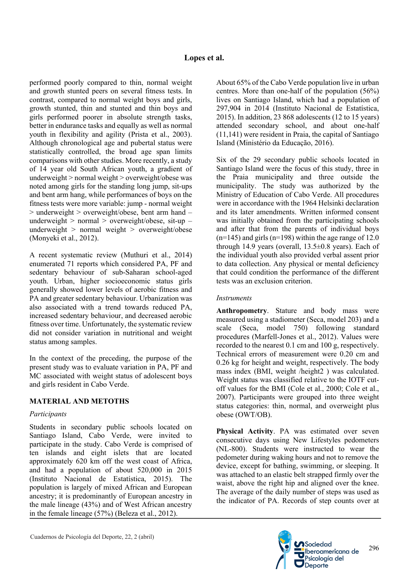performed poorly compared to thin, normal weight and growth stunted peers on several fitness tests. In contrast, compared to normal weight boys and girls, growth stunted, thin and stunted and thin boys and girls performed poorer in absolute strength tasks, better in endurance tasks and equally as well as normal youth in flexibility and agility (Prista et al., 2003). Although chronological age and pubertal status were statistically controlled, the broad age span limits comparisons with other studies. More recently, a study of 14 year old South African youth, a gradient of underweight > normal weight > overweight/obese was noted among girls for the standing long jump, sit-ups and bent arm hang, while performances of boys on the fitness tests were more variable: jump - normal weight  $>$  underweight  $>$  overweight/obese, bent arm hand – underweight  $>$  normal  $>$  overweight/obese, sit-up – underweight  $>$  normal weight  $>$  overweight/obese (Monyeki et al., 2012).

A recent systematic review (Muthuri et al., 2014) enumerated 71 reports which considered PA, PF and sedentary behaviour of sub-Saharan school-aged youth. Urban, higher socioeconomic status girls generally showed lower levels of aerobic fitness and PA and greater sedentary behaviour. Urbanization was also associated with a trend towards reduced PA, increased sedentary behaviour, and decreased aerobic fitness over time. Unfortunately, the systematic review did not consider variation in nutritional and weight status among samples.

In the context of the preceding, the purpose of the present study was to evaluate variation in PA, PF and MC associated with weight status of adolescent boys and girls resident in Cabo Verde.

# **MATERIAL AND METOTHS**

### *Participants*

Students in secondary public schools located on Santiago Island, Cabo Verde, were invited to participate in the study. Cabo Verde is comprised of ten islands and eight islets that are located approximately 620 km off the west coast of Africa, and had a population of about 520,000 in 2015 (Instituto Nacional de Estatística, 2015). The population is largely of mixed African and European ancestry; it is predominantly of European ancestry in the male lineage (43%) and of West African ancestry in the female lineage (57%) (Beleza et al., 2012).

About 65% of the Cabo Verde population live in urban centres. More than one-half of the population (56%) lives on Santiago Island, which had a population of 297,904 in 2014 (Instituto Nacional de Estatística, 2015). In addition, 23 868 adolescents (12 to 15 years) attended secondary school, and about one-half (11,141) were resident in Praia, the capital of Santiago Island (Ministério da Educação, 2016).

Six of the 29 secondary public schools located in Santiago Island were the focus of this study, three in the Praia municipality and three outside the municipality. The study was authorized by the Ministry of Education of Cabo Verde. All procedures were in accordance with the 1964 Helsinki declaration and its later amendments. Written informed consent was initially obtained from the participating schools and after that from the parents of individual boys  $(n=145)$  and girls  $(n=198)$  within the age range of 12.0 through 14.9 years (overall,  $13.5\pm0.8$  years). Each of the individual youth also provided verbal assent prior to data collection. Any physical or mental deficiency that could condition the performance of the different tests was an exclusion criterion.

# *Instruments*

**Anthropometry**. Stature and body mass were measured using a stadiometer (Seca, model 203) and a scale (Seca, model 750) following standard procedures (Marfell-Jones et al., 2012). Values were recorded to the nearest 0.1 cm and 100 g, respectively. Technical errors of measurement were 0.20 cm and 0.26 kg for height and weight, respectively. The body mass index (BMI, weight /height2 ) was calculated. Weight status was classified relative to the IOTF cutoff values for the BMI (Cole et al., 2000; Cole et al., 2007). Participants were grouped into three weight status categories: thin, normal, and overweight plus obese (OWT/OB).

**Physical Activity**. PA was estimated over seven consecutive days using New Lifestyles pedometers (NL-800). Students were instructed to wear the pedometer during waking hours and not to remove the device, except for bathing, swimming, or sleeping. It was attached to an elastic belt strapped firmly over the waist, above the right hip and aligned over the knee. The average of the daily number of steps was used as the indicator of PA. Records of step counts over at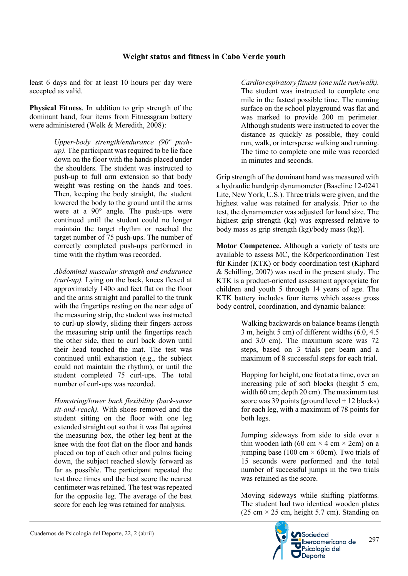least 6 days and for at least 10 hours per day were accepted as valid.

**Physical Fitness**. In addition to grip strength of the dominant hand, four items from Fitnessgram battery were administered (Welk & Meredith, 2008):

> *Upper-body strength/endurance (90º pushup).* The participant was required to be lie face down on the floor with the hands placed under the shoulders. The student was instructed to push-up to full arm extension so that body weight was resting on the hands and toes. Then, keeping the body straight, the student lowered the body to the ground until the arms were at a 90° angle. The push-ups were continued until the student could no longer maintain the target rhythm or reached the target number of 75 push-ups. The number of correctly completed push-ups performed in time with the rhythm was recorded.

> *Abdominal muscular strength and endurance (curl-up).* Lying on the back, knees flexed at approximately 140o and feet flat on the floor and the arms straight and parallel to the trunk with the fingertips resting on the near edge of the measuring strip, the student was instructed to curl-up slowly, sliding their fingers across the measuring strip until the fingertips reach the other side, then to curl back down until their head touched the mat. The test was continued until exhaustion (e.g., the subject could not maintain the rhythm), or until the student completed 75 curl-ups. The total number of curl-ups was recorded.

> *Hamstring/lower back flexibility (back-saver sit-and-reach).* With shoes removed and the student sitting on the floor with one leg extended straight out so that it was flat against the measuring box, the other leg bent at the knee with the foot flat on the floor and hands placed on top of each other and palms facing down, the subject reached slowly forward as far as possible. The participant repeated the test three times and the best score the nearest centimeter was retained. The test was repeated for the opposite leg. The average of the best score for each leg was retained for analysis.

*Cardiorespiratory fitness (one mile run/walk).* The student was instructed to complete one mile in the fastest possible time. The running surface on the school playground was flat and was marked to provide 200 m perimeter. Although students were instructed to cover the distance as quickly as possible, they could run, walk, or intersperse walking and running. The time to complete one mile was recorded in minutes and seconds.

Grip strength of the dominant hand was measured with a hydraulic handgrip dynamometer (Baseline 12-0241 Lite, New York, U.S.). Three trials were given, and the highest value was retained for analysis. Prior to the test, the dynamometer was adjusted for hand size. The highest grip strength (kg) was expressed relative to body mass as grip strength (kg)/body mass (kg)].

**Motor Competence.** Although a variety of tests are available to assess MC, the Körperkoordination Test für Kinder (KTK) or body coordination test (Kiphard & Schilling, 2007) was used in the present study. The KTK is a product-oriented assessment appropriate for children and youth 5 through 14 years of age. The KTK battery includes four items which assess gross body control, coordination, and dynamic balance:

> Walking backwards on balance beams (length 3 m, height 5 cm) of different widths (6.0, 4.5 and 3.0 cm). The maximum score was 72 steps, based on 3 trials per beam and a maximum of 8 successful steps for each trial.

> Hopping for height, one foot at a time, over an increasing pile of soft blocks (height 5 cm, width 60 cm; depth 20 cm). The maximum test score was 39 points (ground level  $+ 12$  blocks) for each leg, with a maximum of 78 points for both legs.

> Jumping sideways from side to side over a thin wooden lath (60 cm  $\times$  4 cm  $\times$  2cm) on a jumping base (100 cm  $\times$  60cm). Two trials of 15 seconds were performed and the total number of successful jumps in the two trials was retained as the score.

> Moving sideways while shifting platforms. The student had two identical wooden plates (25 cm  $\times$  25 cm, height 5.7 cm). Standing on

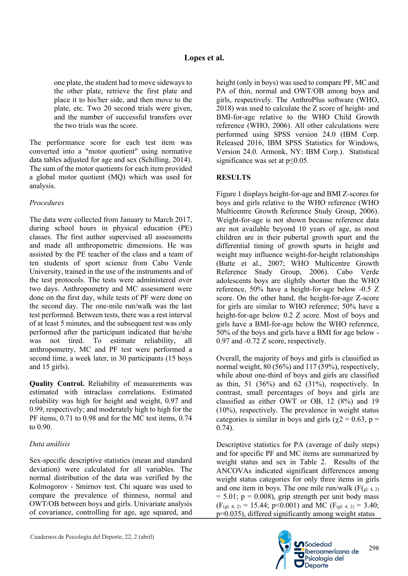one plate, the student had to move sideways to the other plate, retrieve the first plate and place it to his/her side, and then move to the plate, etc. Two 20 second trials were given, and the number of successful transfers over the two trials was the score.

The performance score for each test item was converted into a "motor quotient" using normative data tables adjusted for age and sex (Schilling, 2014). The sum of the motor quotients for each item provided a global motor quotient (MQ) which was used for analysis.

## *Procedures*

The data were collected from January to March 2017, during school hours in physical education (PE) classes. The first author supervised all assessments and made all anthropometric dimensions. He was assisted by the PE teacher of the class and a team of ten students of sport science from Cabo Verde University, trained in the use of the instruments and of the test protocols. The tests were administered over two days. Anthropometry and MC assessment were done on the first day, while tests of PF were done on the second day. The one-mile run/walk was the last test performed. Between tests, there was a rest interval of at least 5 minutes, and the subsequent test was only performed after the participant indicated that he/she was not tired. To estimate reliability, all anthropometry, MC and PF test were performed a second time, a week later, in 30 participants (15 boys and 15 girls).

**Quality Control.** Reliability of measurements was estimated with intraclass correlations. Estimated reliability was high for height and weight, 0.97 and 0.99, respectively; and moderately high to high for the PF items, 0.71 to 0.98 and for the MC test items, 0.74 to 0.90.

# *Data análisis*

Sex-specific descriptive statistics (mean and standard deviation) were calculated for all variables. The normal distribution of the data was verified by the Kolmogorov - Smirnov test. Chi square was used to compare the prevalence of thinness, normal and OWT/OB between boys and girls. Univariate analysis of covariance, controlling for age, age squared, and

height (only in boys) was used to compare PF, MC and PA of thin, normal and OWT/OB among boys and girls, respectively. The AnthroPlus software (WHO, 2018) was used to calculate the Z score of height- and BMI-for-age relative to the WHO Child Growth reference (WHO, 2006). All other calculations were performed using SPSS version 24.0 (IBM Corp. Released 2016, IBM SPSS Statistics for Windows, Version 24.0. Armonk, NY: IBM Corp.). Statistical significance was set at  $p \le 0.05$ .

# **RESULTS**

Figure 1 displays height-for-age and BMI Z-scores for boys and girls relative to the WHO reference (WHO Multicentre Growth Reference Study Group, 2006). Weight-for-age is not shown because reference data are not available beyond 10 years of age, as most children are in their pubertal growth spurt and the differential timing of growth spurts in height and weight may influence weight-for-height relationships (Butte et al., 2007; WHO Multicentre Growth Reference Study Group, 2006). Cabo Verde adolescents boys are slightly shorter than the WHO reference, 50% have a height-for-age below -0.5 Z score. On the other hand, the height-for-age Z-score for girls are similar to WHO reference; 50% have a height-for-age below 0.2 Z score. Most of boys and girls have a BMI-for-age below the WHO reference, 50% of the boys and girls have a BMI for age below - 0.97 and -0.72 Z score, respectively.

Overall, the majority of boys and girls is classified as normal weight, 80 (56%) and 117 (59%), respectively, while about one-third of boys and girls are classified as thin, 51 (36%) and 62 (31%), respectively. In contrast, small percentages of boys and girls are classified as either OWT or OB, 12 (8%) and 19 (10%), respectively. The prevalence in weight status categories is similar in boys and girls ( $\chi$ 2 = 0.63, p = 0.74).

Descriptive statistics for PA (average of daily steps) and for specific PF and MC items are summarized by weight status and sex in Table 2. Results of the ANCOVAs indicated significant differences among weight status categories for only three items in girls and one item in boys. The one mile run/walk  $(F(\rho_{gl: 4, 2)})$  $= 5.01$ ;  $p = 0.008$ ), grip strength per unit body mass  $(F<sub>(gl: 4, 2)</sub> = 15.44; p<0.001)$  and MC  $(F<sub>(gl: 4, 2)</sub> = 3.40;$ p=0.035), differed significantly among weight status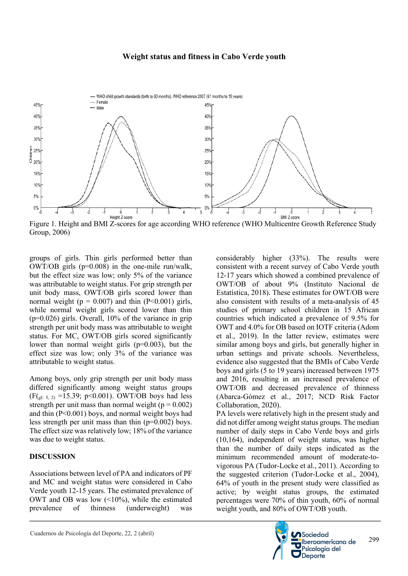

Figure 1. Height and BMI Z-scores for age according WHO reference (WHO Multicentre Growth Reference Study Group, 2006)

groups of girls. Thin girls performed better than OWT/OB girls (p=0.008) in the one-mile run/walk, but the effect size was low; only 5% of the variance was attributable to weight status. For grip strength per unit body mass, OWT/OB girls scored lower than normal weight ( $p = 0.007$ ) and thin (P<0.001) girls, while normal weight girls scored lower than thin  $(p=0.026)$  girls. Overall, 10% of the variance in grip strength per unit body mass was attributable to weight status. For MC, OWT/OB girls scored significantly lower than normal weight girls  $(p=0.003)$ , but the effect size was low; only 3% of the variance was attributable to weight status.

Among boys, only grip strength per unit body mass differed significantly among weight status groups  $(F(\rho_1: 5, 2) = 15.39; p<0.001)$ . OWT/OB boys had less strength per unit mass than normal weight ( $p = 0.002$ ) and thin (P<0.001) boys, and normal weight boys had less strength per unit mass than thin (p=0.002) boys. The effect size was relatively low; 18% of the variance was due to weight status.

### **DISCUSSION**

Associations between level of PA and indicators of PF and MC and weight status were considered in Cabo Verde youth 12-15 years. The estimated prevalence of OWT and OB was low (<10%), while the estimated prevalence of thinness (underweight) was

considerably higher (33%). The results were consistent with a recent survey of Cabo Verde youth 12-17 years which showed a combined prevalence of OWT/OB of about 9% (Instituto Nacional de Estatística, 2018). These estimates for OWT/OB were also consistent with results of a meta-analysis of 45 studies of primary school children in 15 African countries which indicated a prevalence of 9.5% for OWT and 4.0% for OB based on IOTF criteria (Adom et al., 2019). In the latter review, estimates were similar among boys and girls, but generally higher in urban settings and private schools. Nevertheless, evidence also suggested that the BMIs of Cabo Verde boys and girls (5 to 19 years) increased between 1975 and 2016, resulting in an increased prevalence of OWT/OB and decreased prevalence of thinness (Abarca-Gómez et al., 2017; NCD Risk Factor Collaboration, 2020). PA levels were relatively high in the present study and

did not differ among weight status groups. The median number of daily steps in Cabo Verde boys and girls (10,164), independent of weight status, was higher than the number of daily steps indicated as the minimum recommended amount of moderate-tovigorous PA (Tudor-Locke et al., 2011). According to the suggested criterion (Tudor-Locke et al., 2004), 64% of youth in the present study were classified as active; by weight status groups, the estimated percentages were 70% of thin youth, 60% of normal weight youth, and 80% of OWT/OB youth.

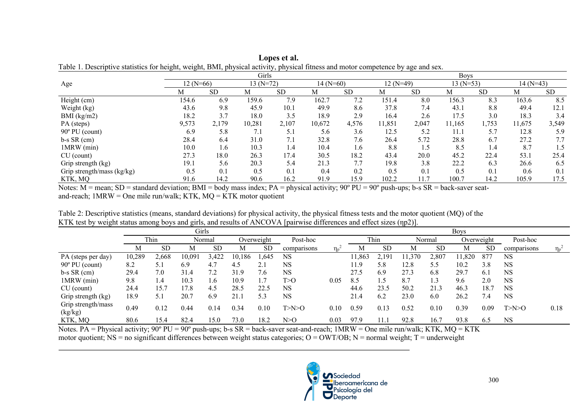|                            |            |           | Girls      |           |            |           | <b>Boys</b> |           |            |           |            |           |  |  |
|----------------------------|------------|-----------|------------|-----------|------------|-----------|-------------|-----------|------------|-----------|------------|-----------|--|--|
| Age                        | $12(N=66)$ |           | $13(N=72)$ |           | $14(N=60)$ |           | $12(N=49)$  |           | $13(N=53)$ |           | $14(N=43)$ |           |  |  |
|                            | М          | <b>SD</b> | М          | <b>SD</b> | М          | <b>SD</b> | М           | <b>SD</b> | М          | <b>SD</b> | М          | <b>SD</b> |  |  |
| Height (cm)                | 154.6      | 6.9       | 159.6      | 7.9       | 162.7      | 7.2       | 151.4       | 8.0       | 156.3      | 8.3       | 163.6      | 8.5       |  |  |
| Weight (kg)                | 43.6       | 9.8       | 45.9       | 10.1      | 49.9       | 8.6       | 37.8        | 7.4       | 43.1       | 8.8       | 49.4       | 12.1      |  |  |
| BMI (kg/m2)                | 18.2       | 3.7       | 18.0       | 3.5       | 18.9       | 2.9       | 16.4        | 2.6       | 17.5       | 3.0       | 18.3       | 3.4       |  |  |
| PA (steps)                 | 9,573      | 2,179     | 10,281     | 2,107     | 10,672     | 4,576     | 11,851      | 2,047     | 11,165     | 1,753     | 11,675     | 3,549     |  |  |
| $90^{\circ}$ PU (count)    | 6.9        | 5.8       | 7.1        | 5.1       | 5.6        | 3.6       | 12.5        | 5.2       | 11.1       | 5.7       | 12.8       | 5.9       |  |  |
| $b-s SR$ (cm)              | 28.4       | 6.4       | 31.0       | 7.1       | 32.8       | 7.6       | 26.4        | 5.72      | 28.8       | 6.7       | 27.2       | 7.7       |  |  |
| 1MRW (min)                 | 10.0       | 1.6       | 10.3       | 1.4       | 10.4       | 1.6       | 8.8         | 1.5       | 8.5        | 1.4       | 8.7        | 1.5       |  |  |
| $CU$ (count)               | 27.3       | 18.0      | 26.3       | 17.4      | 30.5       | 18.2      | 43.4        | 20.0      | 45.2       | 22.4      | 53.1       | 25.4      |  |  |
| Grip strength (kg)         | 19.1       | 5.6       | 20.3       | 5.4       | 21.3       | 7.7       | 19.8        | 3.8       | 22.2       | 6.3       | 26.6       | 6.5       |  |  |
| Grip strength/mass (kg/kg) | 0.5        | 0.1       | 0.5        | 0.1       | 0.4        | 0.2       | 0.5         | 0.1       | 0.5        | 0.1       | 0.6        | 0.1       |  |  |
| KTK, MQ                    | 91.6       | 14.2      | 90.6       | 16.2      | 91.9       | 15.9      | 102.2       | 11.7      | 100.7      | 14.2      | 105.9      | 17.5      |  |  |

**Lopes et al.** Table 1. Descriptive statistics for height, weight, BMI, physical activity, physical fitness and motor competence by age and sex.

Notes:  $M =$  mean; SD = standard deviation; BMI = body mass index; PA = physical activity; 90 $^{\circ}$  PU = 90 $^{\circ}$  push-ups; b-s SR = back-saver seatand-reach;  $1MRW = One$  mile run/walk; KTK,  $MQ = KTK$  motor quotient

Table 2: Descriptive statistics (means, standard deviations) for physical activity, the physical fitness tests and the motor quotient (MQ) of the KTK test by weight status among boys and girls, and results of ANCOVA [pairwise differences and effect sizes (ηp2)].

|                               | Girls  |           |        |           |        |            |             |       | <b>Boys</b> |           |        |               |            |           |             |          |  |
|-------------------------------|--------|-----------|--------|-----------|--------|------------|-------------|-------|-------------|-----------|--------|---------------|------------|-----------|-------------|----------|--|
|                               |        | Thin      |        | Normal    |        | Overweight | Post-hoc    |       | Thin        |           | Normal |               | Overweight |           | Post-hoc    |          |  |
|                               | M      | <b>SD</b> | М      | <b>SD</b> | М      | <b>SD</b>  | comparisons | $\ln$ | М           | <b>SD</b> | M      | <sub>SD</sub> | М          | <b>SD</b> | comparisons | $\eta_p$ |  |
| PA (steps per day)            | 10,289 | 2,668     | 10,091 | 3,422     | 10,186 | 1,645      | NS          |       | 11.863      | 2,191     | .370   | 2,807         | 11.820     | 877       | <b>NS</b>   |          |  |
| $90^{\circ}$ PU (count)       | 8.2    | 5.1       | 6.9    | 4.7       | 4.5    |            | NS          |       | 11.9        | 5.8       | 12.8   | 5.5           | 10.2       | 3.8       | <b>NS</b>   |          |  |
| $b-s SR$ (cm)                 | 29.4   | 7.0       | 31.4   | 7.2       | 31.9   | 7.6        | NS          |       | 27.5        | 6.9       | 27.3   | 6.8           | 29.7       | 6.1       | NS          |          |  |
| 1MRW (min)                    | 9.8    | 1.4       | 10.3   | 1.6       | 10.9   | 1.7        | T>0         | 0.05  | 8.5         | 1.5       | 8.7    |               | 9.6        | 2.0       | <b>NS</b>   |          |  |
| $CU$ (count)                  | 24.4   | 15.7      | 17.8   | 4.5       | 28.5   | 22.5       | NS          |       | 44.6        | 23.5      | 50.2   | 21.3          | 46.3       | 18.7      | <b>NS</b>   |          |  |
| Grip strength (kg)            | 18.9   | 5.1       | 20.7   | 6.9       | 21.1   | 5.3        | NS          |       | 21.4        | 6.2       | 23.0   | 6.0           | 26.2       | 7.4       | <b>NS</b>   |          |  |
| Grip strength/mass<br>(kg/kg) | 0.49   | 0.12      | 0.44   | 0.14      | 0.34   | 0.10       | T> N>0      | 0.10  | 0.59        | 0.13      | 0.52   | 0.10          | 0.39       | 0.09      | T> N>0      | 0.18     |  |
| KTK, MQ                       | 80.6   | 15.4      | 82.4   | 15.0      | 73.0   | 18.2       | N>0         | 0.03  | 97.9        |           | 92.8   | 16.7          | 93.8       | 6.5       | <b>NS</b>   |          |  |

Notes.  $PA =$  Physical activity;  $90^{\circ}$  PU =  $90^{\circ}$  push-ups; b-s SR = back-saver seat-and-reach; 1MRW = One mile run/walk; KTK, MQ = KTK motor quotient;  $NS = no$  significant differences between weight status categories;  $O = OWT/OB$ ;  $N = normal$  weight;  $T = underweight$ 

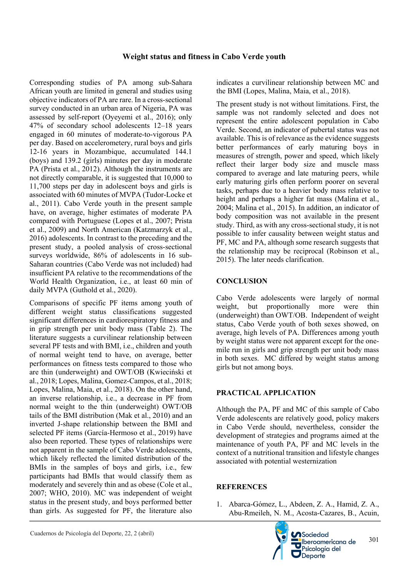Corresponding studies of PA among sub-Sahara African youth are limited in general and studies using objective indicators of PA are rare. In a cross-sectional survey conducted in an urban area of Nigeria, PA was assessed by self-report (Oyeyemi et al., 2016); only 47% of secondary school adolescents 12–18 years engaged in 60 minutes of moderate-to-vigorous PA per day. Based on accelerometery, rural boys and girls 12-16 years in Mozambique, accumulated 144.1 (boys) and 139.2 (girls) minutes per day in moderate PA (Prista et al., 2012). Although the instruments are not directly comparable, it is suggested that 10,000 to 11,700 steps per day in adolescent boys and girls is associated with 60 minutes of MVPA (Tudor-Locke et al., 2011). Cabo Verde youth in the present sample have, on average, higher estimates of moderate PA compared with Portuguese (Lopes et al., 2007; Prista et al., 2009) and North American (Katzmarzyk et al., 2016) adolescents. In contrast to the preceding and the present study, a pooled analysis of cross-sectional surveys worldwide, 86% of adolescents in 16 sub-Saharan countries (Cabo Verde was not included) had insufficient PA relative to the recommendations of the World Health Organization, i.e., at least 60 min of daily MVPA (Guthold et al., 2020).

Comparisons of specific PF items among youth of different weight status classifications suggested significant differences in cardiorespiratory fitness and in grip strength per unit body mass (Table 2). The literature suggests a curvilinear relationship between several PF tests and with BMI, i.e., children and youth of normal weight tend to have, on average, better performances on fitness tests compared to those who are thin (underweight) and OWT/OB (Kwieciński et al., 2018; Lopes, Malina, Gomez-Campos, et al., 2018; Lopes, Malina, Maia, et al., 2018). On the other hand, an inverse relationship, i.e., a decrease in PF from normal weight to the thin (underweight) OWT/OB tails of the BMI distribution (Mak et al., 2010) and an inverted J-shape relationship between the BMI and selected PF items (García-Hermoso et al., 2019) have also been reported. These types of relationships were not apparent in the sample of Cabo Verde adolescents, which likely reflected the limited distribution of the BMIs in the samples of boys and girls, i.e., few participants had BMIs that would classify them as moderately and severely thin and as obese (Cole et al., 2007; WHO, 2010). MC was independent of weight status in the present study, and boys performed better than girls. As suggested for PF, the literature also

indicates a curvilinear relationship between MC and the BMI (Lopes, Malina, Maia, et al., 2018).

The present study is not without limitations. First, the sample was not randomly selected and does not represent the entire adolescent population in Cabo Verde. Second, an indicator of pubertal status was not available. This is of relevance as the evidence suggests better performances of early maturing boys in measures of strength, power and speed, which likely reflect their larger body size and muscle mass compared to average and late maturing peers, while early maturing girls often perform poorer on several tasks, perhaps due to a heavier body mass relative to height and perhaps a higher fat mass (Malina et al., 2004; Malina et al., 2015). In addition, an indicator of body composition was not available in the present study. Third, as with any cross-sectional study, it is not possible to infer causality between weight status and PF, MC and PA, although some research suggests that the relationship may be reciprocal (Robinson et al., 2015). The later needs clarification.

# **CONCLUSION**

Cabo Verde adolescents were largely of normal weight, but proportionally more were thin (underweight) than OWT/OB. Independent of weight status, Cabo Verde youth of both sexes showed, on average, high levels of PA. Differences among youth by weight status were not apparent except for the onemile run in girls and grip strength per unit body mass in both sexes. MC differed by weight status among girls but not among boys.

### **PRACTICAL APPLICATION**

Although the PA, PF and MC of this sample of Cabo Verde adolescents are relatively good, policy makers in Cabo Verde should, nevertheless, consider the development of strategies and programs aimed at the maintenance of youth PA, PF and MC levels in the context of a nutritional transition and lifestyle changes associated with potential westernization

### **REFERENCES**

1. Abarca-Gómez, L., Abdeen, Z. A., Hamid, Z. A., Abu-Rmeileh, N. M., Acosta-Cazares, B., Acuin,

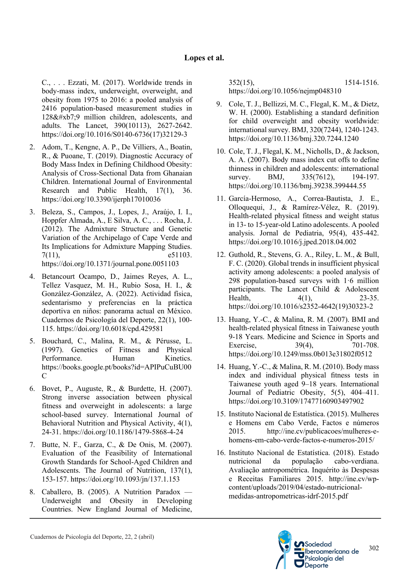C., . . . Ezzati, M. (2017). Worldwide trends in body-mass index, underweight, overweight, and obesity from 1975 to 2016: a pooled analysis of 2416 population-based measurement studies in  $128&\#xb7:9$  million children, adolescents, and adults. The Lancet, 390(10113), 2627-2642. https://doi.org/10.1016/S0140-6736(17)32129-3

- 2. Adom, T., Kengne, A. P., De Villiers, A., Boatin, R., & Puoane, T. (2019). Diagnostic Accuracy of Body Mass Index in Defining Childhood Obesity: Analysis of Cross-Sectional Data from Ghanaian Children. International Journal of Environmental Research and Public Health, 17(1), 36. https://doi.org/10.3390/ijerph17010036
- 3. Beleza, S., Campos, J., Lopes, J., Araújo, I. I., Hoppfer Almada, A., E Silva, A. C., . . . Rocha, J. (2012). The Admixture Structure and Genetic Variation of the Archipelago of Cape Verde and Its Implications for Admixture Mapping Studies. 7(11), e51103. https://doi.org/10.1371/journal.pone.0051103
- 4. Betancourt Ocampo, D., Jaimes Reyes, A. L., Tellez Vasquez, M. H., Rubio Sosa, H. I., & González-González, A. (2022). Actividad física, sedentarismo y preferencias en la práctica
	- deportiva en niños: panorama actual en México. Cuadernos de Psicología del Deporte, 22(1), 100- 115. https://doi.org/10.6018/cpd.429581
- 5. Bouchard, C., Malina, R. M., & Pérusse, L. (1997). Genetics of Fitness and Physical Performance. Human Kinetics. https://books.google.pt/books?id=APIPuCuBU00  $\mathsf{C}$
- 6. Bovet, P., Auguste, R., & Burdette, H. (2007). Strong inverse association between physical fitness and overweight in adolescents: a large school-based survey. International Journal of Behavioral Nutrition and Physical Activity, 4(1), 24-31. https://doi.org/10.1186/1479-5868-4-24
- 7. Butte, N. F., Garza, C., & De Onis, M. (2007). Evaluation of the Feasibility of International Growth Standards for School-Aged Children and Adolescents. The Journal of Nutrition, 137(1), 153-157. https://doi.org/10.1093/jn/137.1.153
- 8. Caballero, B. (2005). A Nutrition Paradox Underweight and Obesity in Developing Countries. New England Journal of Medicine,

352(15), 1514-1516. https://doi.org/10.1056/nejmp048310

- 9. Cole, T. J., Bellizzi, M. C., Flegal, K. M., & Dietz, W. H. (2000). Establishing a standard definition for child overweight and obesity worldwide: international survey. BMJ, 320(7244), 1240-1243. https://doi.org/10.1136/bmj.320.7244.1240
- 10. Cole, T. J., Flegal, K. M., Nicholls, D., & Jackson, A. A. (2007). Body mass index cut offs to define thinness in children and adolescents: international survey. BMJ, 335(7612), 194-197. https://doi.org/10.1136/bmj.39238.399444.55
- 11. García-Hermoso, A., Correa-Bautista, J. E., Olloquequi, J., & Ramírez-Vélez, R. (2019). Health-related physical fitness and weight status in 13- to 15-year-old Latino adolescents. A pooled analysis. Jornal de Pediatria, 95(4), 435-442. https://doi.org/10.1016/j.jped.2018.04.002
- 12. Guthold, R., Stevens, G. A., Riley, L. M., & Bull, F. C. (2020). Global trends in insufficient physical activity among adolescents: a pooled analysis of 298 population-based surveys with 1·6 million participants. The Lancet Child & Adolescent Health, 4(1), 23-35. https://doi.org/10.1016/s2352-4642(19)30323-2
- 13. Huang, Y.-C., & Malina, R. M. (2007). BMI and health-related physical fitness in Taiwanese youth 9-18 Years. Medicine and Science in Sports and Exercise, 39(4), 701-708. https://doi.org/10.1249/mss.0b013e31802f0512
- 14. Huang, Y.-C., & Malina, R. M. (2010). Body mass index and individual physical fitness tests in Taiwanese youth aged 9–18 years. International Journal of Pediatric Obesity, 5(5), 404–411. https://doi.org/10.3109/17477160903497902
- 15. Instituto Nacional de Estatística. (2015). Mulheres e Homens em Cabo Verde, Factos e números 2015. http://ine.cv/publicacoes/mulheres-ehomens-em-cabo-verde-factos-e-numeros-2015/
- 16. Instituto Nacional de Estatística. (2018). Estado nutricional da população cabo-verdiana. Avaliação antropométrica. Inquérito às Despesas e Receitas Familiares 2015. http://ine.cv/wpcontent/uploads/2019/04/estado-nutricionalmedidas-antropometricas-idrf-2015.pdf

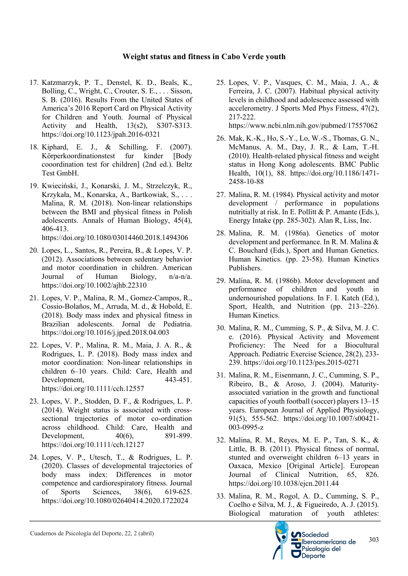- 17. Katzmarzyk, P. T., Denstel, K. D., Beals, K., Bolling, C., Wright, C., Crouter, S. E., . . . Sisson, S. B. (2016). Results From the United States of America's 2016 Report Card on Physical Activity for Children and Youth. Journal of Physical Activity and Health, 13(s2), S307-S313. https://doi.org/10.1123/jpah.2016-0321
- 18. Kiphard, E. J., & Schilling, F. (2007). Körperkoordinationstest fur kinder [Body cooordination test for children] (2nd ed.). Beltz Test GmbH.
- 19. Kwieciński, J., Konarski, J. M., Strzelczyk, R., Krzykała, M., Konarska, A., Bartkowiak, S., . . . Malina, R. M. (2018). Non-linear relationships between the BMI and physical fitness in Polish adolescents. Annals of Human Biology, 45(4), 406-413.

https://doi.org/10.1080/03014460.2018.1494306

- 20. Lopes, L., Santos, R., Pereira, B., & Lopes, V. P. (2012). Associations between sedentary behavior and motor coordination in children. American Journal of Human Biology, n/a-n/a. https://doi.org/10.1002/ajhb.22310
- 21. Lopes, V. P., Malina, R. M., Gomez-Campos, R., Cossio-Bolaños, M., Arruda, M. d., & Hobold, E. (2018). Body mass index and physical fitness in Brazilian adolescents. Jornal de Pediatria. https://doi.org/10.1016/j.jped.2018.04.003
- 22. Lopes, V. P., Malina, R. M., Maia, J. A. R., & Rodrigues, L. P. (2018). Body mass index and motor coordination: Non-linear relationships in children 6–10 years. Child: Care, Health and Development, 443-451. https://doi.org/10.1111/cch.12557
- 23. Lopes, V. P., Stodden, D. F., & Rodrigues, L. P. (2014). Weight status is associated with crosssectional trajectories of motor co-ordination across childhood. Child: Care, Health and Development, 40(6), 891-899. https://doi.org/10.1111/cch.12127
- 24. Lopes, V. P., Utesch, T., & Rodrigues, L. P. (2020). Classes of developmental trajectories of body mass index: Differences in motor competence and cardiorespiratory fitness. Journal of Sports Sciences, 38(6), 619-625. https://doi.org/10.1080/02640414.2020.1722024

25. Lopes, V. P., Vasques, C. M., Maia, J. A., & Ferreira, J. C. (2007). Habitual physical activity levels in childhood and adolescence assessed with accelerometry. J Sports Med Phys Fitness, 47(2), 217-222.

https://www.ncbi.nlm.nih.gov/pubmed/17557062

- 26. Mak, K.-K., Ho, S.-Y., Lo, W.-S., Thomas, G. N., McManus, A. M., Day, J. R., & Lam, T.-H. (2010). Health-related physical fitness and weight status in Hong Kong adolescents. BMC Public Health, 10(1), 88. https://doi.org/10.1186/1471- 2458-10-88
- 27. Malina, R. M. (1984). Physical activity and motor development / performance in populations nutritially at risk. In E. Pollitt & P. Amante (Eds.), Energy Intake (pp. 285-302). Alan R, Liss, Inc.
- 28. Malina, R. M. (1986a). Genetics of motor development and performance. In R. M. Malina & C. Bouchard (Eds.), Sport and Human Genetics. Human Kinetics. (pp. 23-58). Human Kinetics Publishers.
- 29. Malina, R. M. (1986b). Motor development and performance of children and youth in undernourished populations. In F. I. Katch (Ed.), Sport, Health, and Nutrition (pp. 213–226). Human Kinetics.
- 30. Malina, R. M., Cumming, S. P., & Silva, M. J. C. e. (2016). Physical Activity and Movement Proficiency: The Need for a Biocultural Approach. Pediatric Exercise Science, 28(2), 233- 239. https://doi.org/10.1123/pes.2015-0271
- 31. Malina, R. M., Eisenmann, J. C., Cumming, S. P., Ribeiro, B., & Aroso, J. (2004). Maturityassociated variation in the growth and functional capacities of youth football (soccer) players 13–15 years. European Journal of Applied Physiology, 91(5), 555-562. https://doi.org/10.1007/s00421- 003-0995-z
- 32. Malina, R. M., Reyes, M. E. P., Tan, S. K., & Little, B. B. (2011). Physical fitness of normal, stunted and overweight children 6–13 years in Oaxaca, Mexico [Original Article]. European Journal of Clinical Nutrition, 65, 826. https://doi.org/10.1038/ejcn.2011.44
- 33. Malina, R. M., Rogol, A. D., Cumming, S. P., Coelho e Silva, M. J., & Figueiredo, A. J. (2015). Biological maturation of youth athletes:



303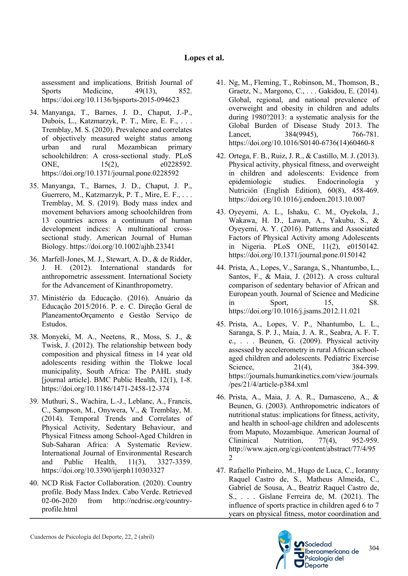assessment and implications. British Journal of Sports Medicine, 49(13), 852. https://doi.org/10.1136/bjsports-2015-094623

- 34. Manyanga, T., Barnes, J. D., Chaput, J.-P., Dubois, L., Katzmarzyk, P. T., Mire, E. F., . . . Tremblay, M. S. (2020). Prevalence and correlates of objectively measured weight status among urban and rural Mozambican primary schoolchildren: A cross-sectional study. PLoS ONE, 15(2), e0228592. https://doi.org/10.1371/journal.pone.0228592
- 35. Manyanga, T., Barnes, J. D., Chaput, J. P., Guerrero, M., Katzmarzyk, P. T., Mire, E. F., ... Tremblay, M. S. (2019). Body mass index and movement behaviors among schoolchildren from 13 countries across a continuum of human development indices: A multinational crosssectional study. American Journal of Human Biology. https://doi.org/10.1002/ajhb.23341
- 36. Marfell-Jones, M. J., Stewart, A. D., & de Ridder, J. H. (2012). International standards for anthropometric assessment. International Society for the Advancement of Kinanthropometry.
- 37. Ministério da Educação. (2016). Anuário da Educação 2015/2016. P. e. C. Direção Geral de PlaneamentoOrçamento e Gestão Serviço de Estudos.
- 38. Monyeki, M. A., Neetens, R., Moss, S. J., & Twisk, J. (2012). The relationship between body composition and physical fitness in 14 year old adolescents residing within the Tlokwe local municipality, South Africa: The PAHL study [journal article]. BMC Public Health, 12(1), 1-8. https://doi.org/10.1186/1471-2458-12-374
- 39. Muthuri, S., Wachira, L.-J., Leblanc, A., Francis, C., Sampson, M., Onywera, V., & Tremblay, M. (2014). Temporal Trends and Correlates of Physical Activity, Sedentary Behaviour, and Physical Fitness among School-Aged Children in Sub-Saharan Africa: A Systematic Review. International Journal of Environmental Research and Public Health, 11(3), 3327-3359. https://doi.org/10.3390/ijerph110303327
- 40. NCD Risk Factor Collaboration. (2020). Country profile. Body Mass Index. Cabo Verde. Retrieved 02-06-2020 from http://ncdrisc.org/countryprofile.html
- 41. Ng, M., Fleming, T., Robinson, M., Thomson, B., Graetz, N., Margono, C., . . . Gakidou, E. (2014). Global, regional, and national prevalence of overweight and obesity in children and adults during 1980?2013: a systematic analysis for the Global Burden of Disease Study 2013. The Lancet, 384(9945), 766-781. https://doi.org/10.1016/S0140-6736(14)60460-8
- 42. Ortega, F. B., Ruiz, J. R., & Castillo, M. J. (2013). Physical activity, physical fitness, and overweight in children and adolescents: Evidence from epidemiologic studies. Endocrinología y Nutrición (English Edition), 60(8), 458-469. https://doi.org/10.1016/j.endoen.2013.10.007
- 43. Oyeyemi, A. L., Ishaku, C. M., Oyekola, J., Wakawa, H. D., Lawan, A., Yakubu, S., & Oyeyemi, A. Y. (2016). Patterns and Associated Factors of Physical Activity among Adolescents in Nigeria. PLoS ONE, 11(2), e0150142. https://doi.org/10.1371/journal.pone.0150142
- 44. Prista, A., Lopes, V., Saranga, S., Nhantumbo, L., Santos, F., & Maia, J. (2012). A cross cultural comparison of sedentary behavior of African and European youth. Journal of Science and Medicine in Sport, 15, S8. https://doi.org/10.1016/j.jsams.2012.11.021
- 45. Prista, A., Lopes, V. P., Nhantumbo, L. L., Saranga, S. P. J., Maia, J. A. R., Seabra, A. F. T. e., . . . Beunen, G. (2009). Physical activity assessed by accelerometry in rural African schoolaged children and adolescents. Pediatric Exercise Science, 21(4), 384-399. https://journals.humankinetics.com/view/journals /pes/21/4/article-p384.xml
- 46. Prista, A., Maia, J. A. R., Damasceno, A., & Beunen, G. (2003). Anthropometric indicators of nutritional status: implications for fitness, activity, and health in school-age children and adolescents from Maputo, Mozambique. American Journal of Clininical Nutrition, 77(4), 952-959. http://www.ajcn.org/cgi/content/abstract/77/4/95 2
- 47. Rafaello Pinheiro, M., Hugo de Luca, C., Ioranny Raquel Castro de, S., Matheus Almeida, C., Gabriel de Sousa, A., Beatriz Raquel Castro de, S., . . . Gislane Ferreira de, M. (2021). The influence of sports practice in children aged 6 to 7 years on physical fitness, motor coordination and

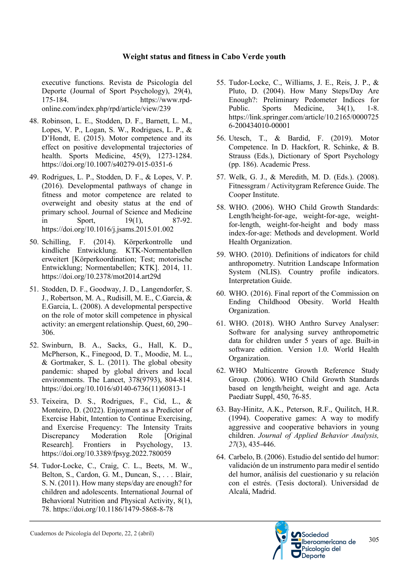executive functions. Revista de Psicología del Deporte (Journal of Sport Psychology), 29(4), 175-184. https://www.rpdonline.com/index.php/rpd/article/view/239

- 48. Robinson, L. E., Stodden, D. F., Barnett, L. M., Lopes, V. P., Logan, S. W., Rodrigues, L. P., & D'Hondt, E. (2015). Motor competence and its effect on positive developmental trajectories of health. Sports Medicine, 45(9), 1273-1284. https://doi.org/10.1007/s40279-015-0351-6
- 49. Rodrigues, L. P., Stodden, D. F., & Lopes, V. P. (2016). Developmental pathways of change in fitness and motor competence are related to overweight and obesity status at the end of primary school. Journal of Science and Medicine in Sport, 19(1), 87-92. https://doi.org/10.1016/j.jsams.2015.01.002
- 50. Schilling, F. (2014). Körperkontrolle und kindliche Entwicklung. KTK-Normentabellen erweitert [Körperkoordination; Test; motorische Entwicklung; Normentabellen; KTK]. 2014, 11. https://doi.org/10.2378/mot2014.art29d
- 51. Stodden, D. F., Goodway, J. D., Langendorfer, S. J., Robertson, M. A., Rudisill, M. E., C.Garcia, & E.Garcia, L. (2008). A developmental perspective on the role of motor skill competence in physical activity: an emergent relationship. Quest, 60, 290– 306.
- 52. Swinburn, B. A., Sacks, G., Hall, K. D., McPherson, K., Finegood, D. T., Moodie, M. L., & Gortmaker, S. L. (2011). The global obesity pandemic: shaped by global drivers and local environments. The Lancet, 378(9793), 804-814. https://doi.org/10.1016/s0140-6736(11)60813-1
- 53. Teixeira, D. S., Rodrigues, F., Cid, L., & Monteiro, D. (2022). Enjoyment as a Predictor of Exercise Habit, Intention to Continue Exercising, and Exercise Frequency: The Intensity Traits Discrepancy Moderation Role [Original Research]. Frontiers in Psychology, 13. https://doi.org/10.3389/fpsyg.2022.780059
- 54. Tudor-Locke, C., Craig, C. L., Beets, M. W., Belton, S., Cardon, G. M., Duncan, S., . . . Blair, S. N. (2011). How many steps/day are enough? for children and adolescents. International Journal of Behavioral Nutrition and Physical Activity, 8(1), 78. https://doi.org/10.1186/1479-5868-8-78
- 55. Tudor-Locke, C., Williams, J. E., Reis, J. P., & Pluto, D. (2004). How Many Steps/Day Are Enough?: Preliminary Pedometer Indices for Public. Sports Medicine, 34(1), 1-8. https://link.springer.com/article/10.2165/0000725 6-200434010-00001
- 56. Utesch, T., & Bardid, F. (2019). Motor Competence. In D. Hackfort, R. Schinke, & B. Strauss (Eds.), Dictionary of Sport Psychology (pp. 186). Academic Press.
- 57. Welk, G. J., & Meredith, M. D. (Eds.). (2008). Fitnessgram / Activitygram Reference Guide. The Cooper Institute.
- 58. WHO. (2006). WHO Child Growth Standards: Length/height-for-age, weight-for-age, weightfor-length, weight-for-height and body mass index-for-age: Methods and development. World Health Organization.
- 59. WHO. (2010). Definitions of indicators for child anthropometry. Nutrition Landscape Information System (NLIS). Country profile indicators. Interpretation Guide.
- 60. WHO. (2016). Final report of the Commission on Ending Childhood Obesity. World Health Organization.
- 61. WHO. (2018). WHO Anthro Survey Analyser: Software for analysing survey anthropometric data for children under 5 years of age. Built-in software edition. Version 1.0. World Health Organization.
- 62. WHO Multicentre Growth Reference Study Group. (2006). WHO Child Growth Standards based on length/height, weight and age. Acta Paediatr Suppl, 450, 76-85.
- 63. Bay-Hinitz, A.K., Peterson, R.F., Quilitch, H.R. (1994). Cooperative games: A way to modify aggressive and cooperative behaviors in young children. *Journal of Applied Behavior Analysis, 27*(3), 435-446.
- 64. Carbelo, B. (2006). Estudio del sentido del humor: validación de un instrumento para medir el sentido del humor, análisis del cuestionario y su relación con el estrés. (Tesis doctoral). Universidad de Alcalá, Madrid.